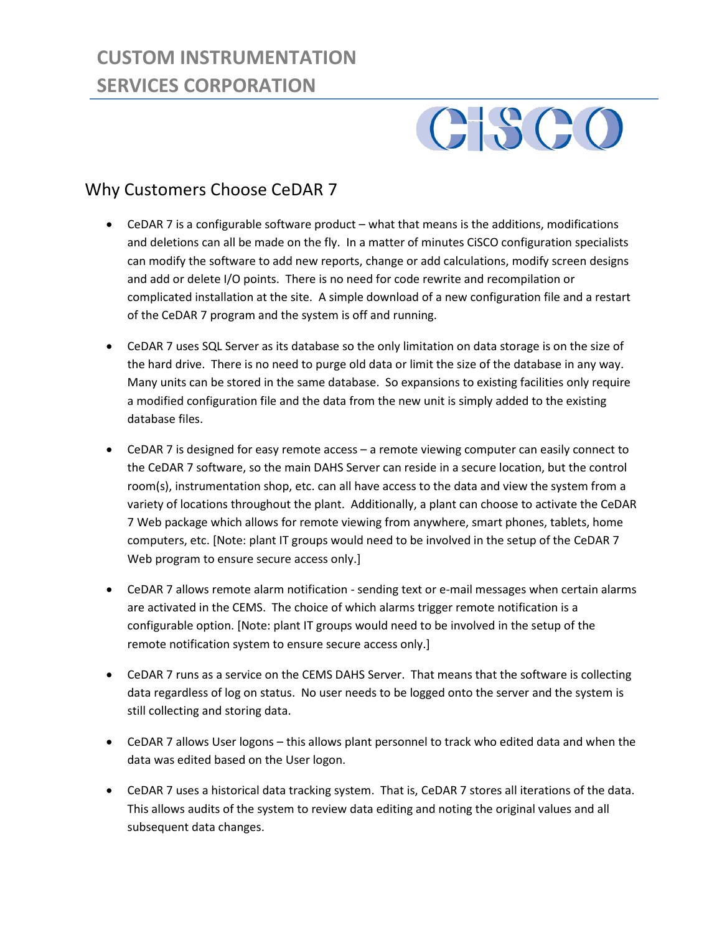## **CUSTOM INSTRUMENTATION SERVICES CORPORATION**

## GISCO

## Why Customers Choose CeDAR 7

- CeDAR 7 is a configurable software product what that means is the additions, modifications and deletions can all be made on the fly. In a matter of minutes CiSCO configuration specialists can modify the software to add new reports, change or add calculations, modify screen designs and add or delete I/O points. There is no need for code rewrite and recompilation or complicated installation at the site. A simple download of a new configuration file and a restart of the CeDAR 7 program and the system is off and running.
- CeDAR 7 uses SQL Server as its database so the only limitation on data storage is on the size of the hard drive. There is no need to purge old data or limit the size of the database in any way. Many units can be stored in the same database. So expansions to existing facilities only require a modified configuration file and the data from the new unit is simply added to the existing database files.
- CeDAR 7 is designed for easy remote access a remote viewing computer can easily connect to the CeDAR 7 software, so the main DAHS Server can reside in a secure location, but the control room(s), instrumentation shop, etc. can all have access to the data and view the system from a variety of locations throughout the plant. Additionally, a plant can choose to activate the CeDAR 7 Web package which allows for remote viewing from anywhere, smart phones, tablets, home computers, etc. [Note: plant IT groups would need to be involved in the setup of the CeDAR 7 Web program to ensure secure access only.]
- CeDAR 7 allows remote alarm notification sending text or e-mail messages when certain alarms are activated in the CEMS. The choice of which alarms trigger remote notification is a configurable option. [Note: plant IT groups would need to be involved in the setup of the remote notification system to ensure secure access only.]
- CeDAR 7 runs as a service on the CEMS DAHS Server. That means that the software is collecting data regardless of log on status. No user needs to be logged onto the server and the system is still collecting and storing data.
- CeDAR 7 allows User logons this allows plant personnel to track who edited data and when the data was edited based on the User logon.
- CeDAR 7 uses a historical data tracking system. That is, CeDAR 7 stores all iterations of the data. This allows audits of the system to review data editing and noting the original values and all subsequent data changes.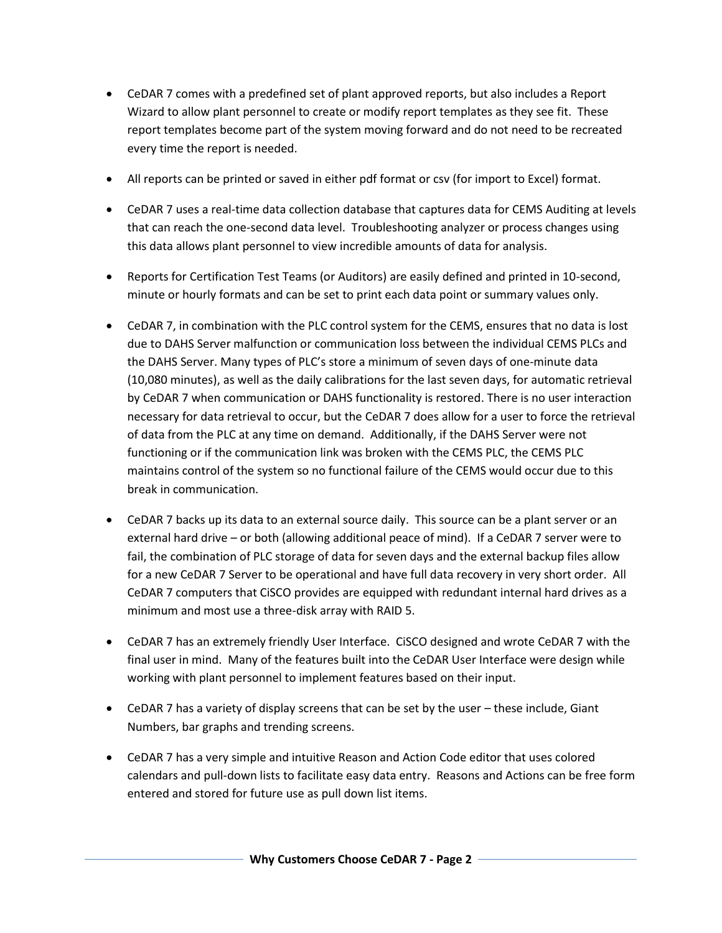- CeDAR 7 comes with a predefined set of plant approved reports, but also includes a Report Wizard to allow plant personnel to create or modify report templates as they see fit. These report templates become part of the system moving forward and do not need to be recreated every time the report is needed.
- All reports can be printed or saved in either pdf format or csv (for import to Excel) format.
- CeDAR 7 uses a real-time data collection database that captures data for CEMS Auditing at levels that can reach the one-second data level. Troubleshooting analyzer or process changes using this data allows plant personnel to view incredible amounts of data for analysis.
- Reports for Certification Test Teams (or Auditors) are easily defined and printed in 10-second, minute or hourly formats and can be set to print each data point or summary values only.
- CeDAR 7, in combination with the PLC control system for the CEMS, ensures that no data is lost due to DAHS Server malfunction or communication loss between the individual CEMS PLCs and the DAHS Server. Many types of PLC's store a minimum of seven days of one-minute data (10,080 minutes), as well as the daily calibrations for the last seven days, for automatic retrieval by CeDAR 7 when communication or DAHS functionality is restored. There is no user interaction necessary for data retrieval to occur, but the CeDAR 7 does allow for a user to force the retrieval of data from the PLC at any time on demand. Additionally, if the DAHS Server were not functioning or if the communication link was broken with the CEMS PLC, the CEMS PLC maintains control of the system so no functional failure of the CEMS would occur due to this break in communication.
- CeDAR 7 backs up its data to an external source daily. This source can be a plant server or an external hard drive – or both (allowing additional peace of mind). If a CeDAR 7 server were to fail, the combination of PLC storage of data for seven days and the external backup files allow for a new CeDAR 7 Server to be operational and have full data recovery in very short order. All CeDAR 7 computers that CiSCO provides are equipped with redundant internal hard drives as a minimum and most use a three-disk array with RAID 5.
- CeDAR 7 has an extremely friendly User Interface. CiSCO designed and wrote CeDAR 7 with the final user in mind. Many of the features built into the CeDAR User Interface were design while working with plant personnel to implement features based on their input.
- CeDAR 7 has a variety of display screens that can be set by the user these include, Giant Numbers, bar graphs and trending screens.
- CeDAR 7 has a very simple and intuitive Reason and Action Code editor that uses colored calendars and pull-down lists to facilitate easy data entry. Reasons and Actions can be free form entered and stored for future use as pull down list items.